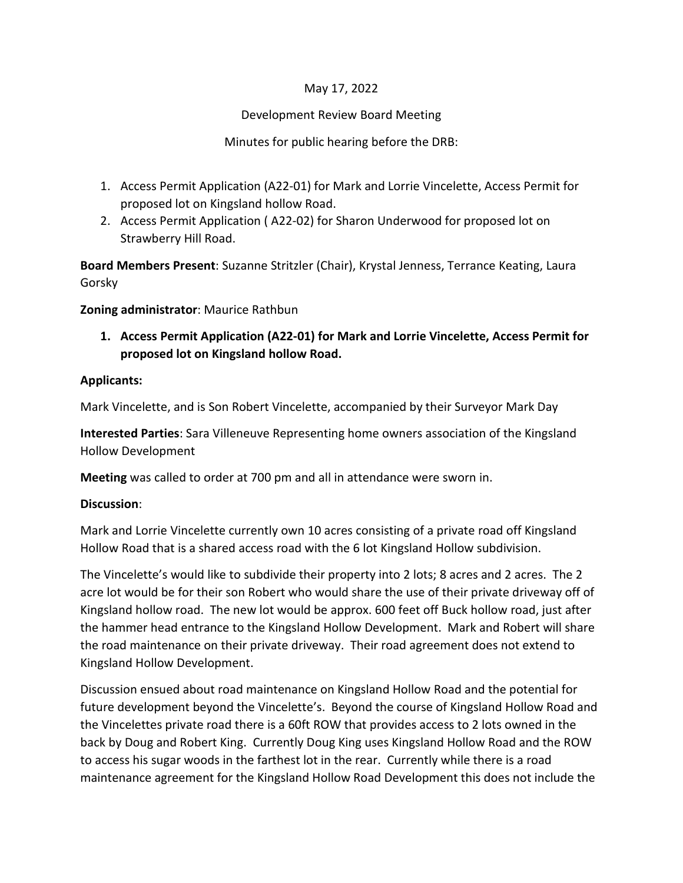# May 17, 2022

#### Development Review Board Meeting

#### Minutes for public hearing before the DRB:

- 1. Access Permit Application (A22-01) for Mark and Lorrie Vincelette, Access Permit for proposed lot on Kingsland hollow Road.
- 2. Access Permit Application ( A22-02) for Sharon Underwood for proposed lot on Strawberry Hill Road.

**Board Members Present**: Suzanne Stritzler (Chair), Krystal Jenness, Terrance Keating, Laura Gorsky

**Zoning administrator**: Maurice Rathbun

**1. Access Permit Application (A22-01) for Mark and Lorrie Vincelette, Access Permit for proposed lot on Kingsland hollow Road.** 

### **Applicants:**

Mark Vincelette, and is Son Robert Vincelette, accompanied by their Surveyor Mark Day

**Interested Parties**: Sara Villeneuve Representing home owners association of the Kingsland Hollow Development

**Meeting** was called to order at 700 pm and all in attendance were sworn in.

#### **Discussion**:

Mark and Lorrie Vincelette currently own 10 acres consisting of a private road off Kingsland Hollow Road that is a shared access road with the 6 lot Kingsland Hollow subdivision.

The Vincelette's would like to subdivide their property into 2 lots; 8 acres and 2 acres. The 2 acre lot would be for their son Robert who would share the use of their private driveway off of Kingsland hollow road. The new lot would be approx. 600 feet off Buck hollow road, just after the hammer head entrance to the Kingsland Hollow Development. Mark and Robert will share the road maintenance on their private driveway. Their road agreement does not extend to Kingsland Hollow Development.

Discussion ensued about road maintenance on Kingsland Hollow Road and the potential for future development beyond the Vincelette's. Beyond the course of Kingsland Hollow Road and the Vincelettes private road there is a 60ft ROW that provides access to 2 lots owned in the back by Doug and Robert King. Currently Doug King uses Kingsland Hollow Road and the ROW to access his sugar woods in the farthest lot in the rear. Currently while there is a road maintenance agreement for the Kingsland Hollow Road Development this does not include the